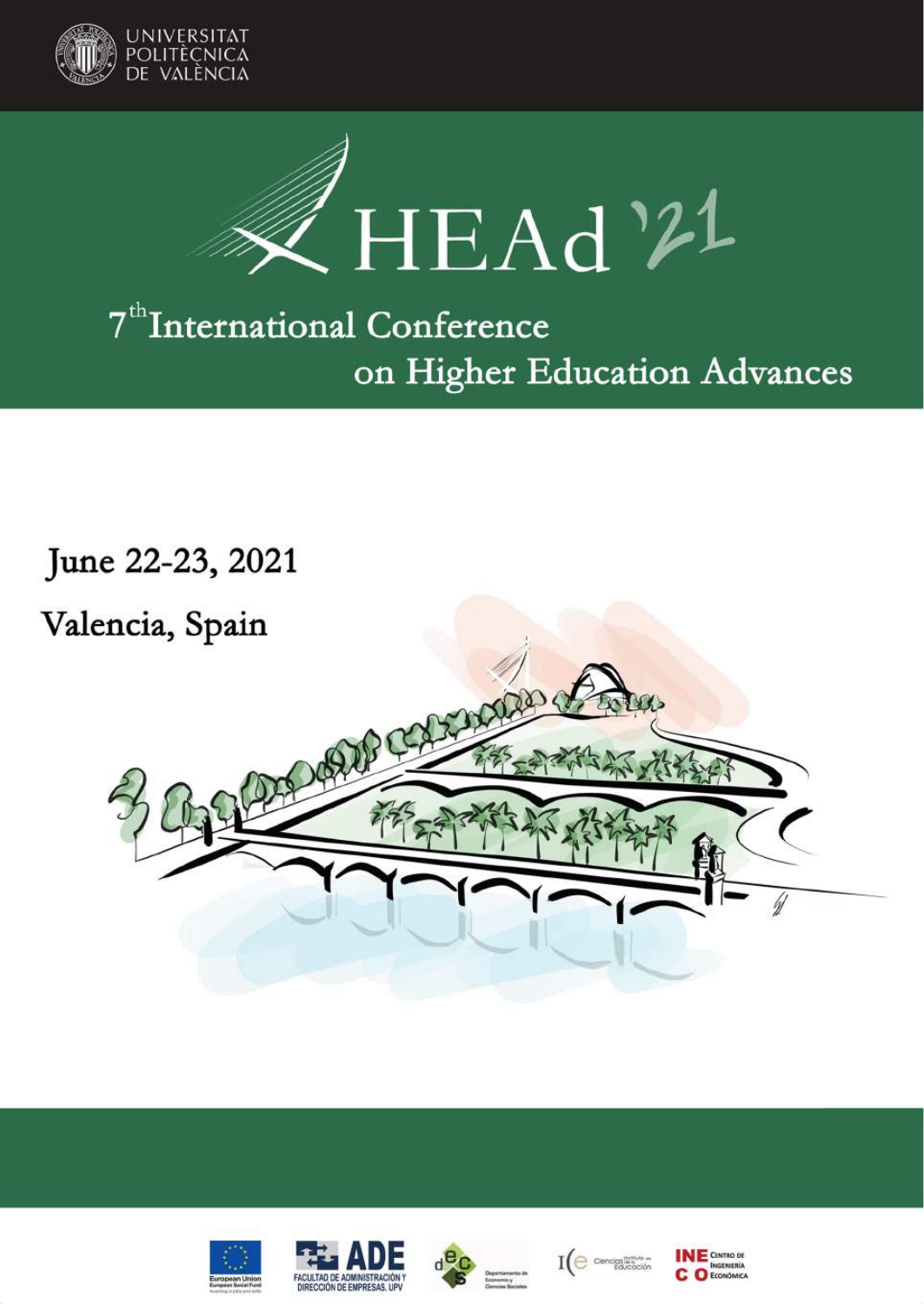



# 7<sup>th</sup>International Conference on Higher Education Advances

June 22-23, 2021











 $\mathrm{I}(\bigoplus$  cencipalization

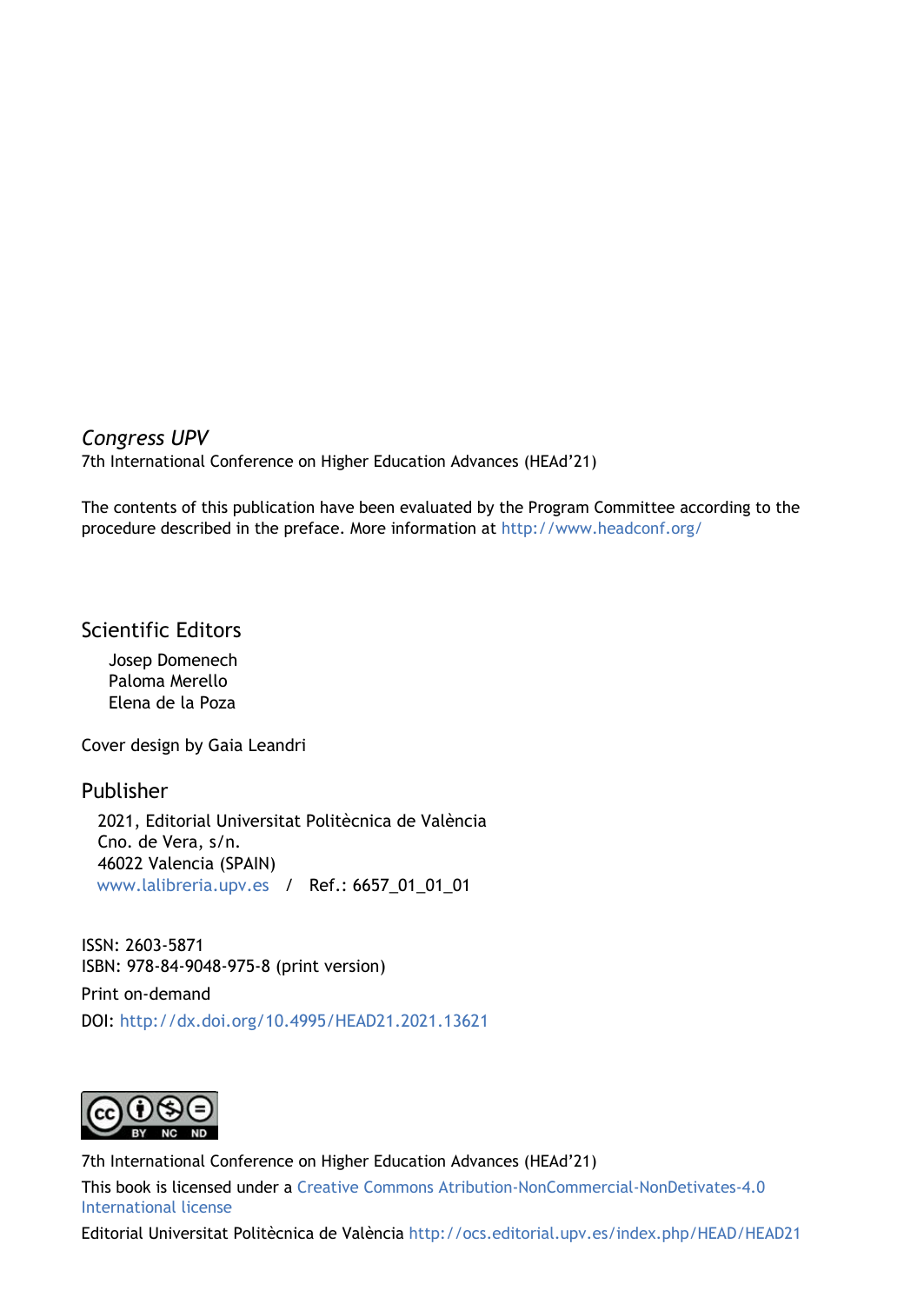#### Congress UPV

7th International Conference on Higher Education Advances (HEAd'21)

The contents of this publication have been evaluated by the Program Committee according to the procedure described in the preface. More information at http://www.headconf.org/

#### Scientific Editors

Josep Domenech Paloma Merello Elena de la Poza

Cover design by Gaia Leandri

Publisher 2021, Editorial Universitat Politècnica de València Cno. de Vera, s/n. 46022 Valencia (SPAIN) www.lalibreria.upv.es / Ref.: 6657\_01\_01\_01

ISSN: 2603-5871 ISBN: 978-84-9048-975-8 (print version) Print on-demand DOI: http://dx.doi.org/10.4995/HEAD21.2021.13621



7th International Conference on Higher Education Advances (HEAd'21) This book is licensed under a Creative Commons Atribution-NonCommercial-NonDetivates-4.0 International license

Editorial Universitat Politècnica de València http://ocs.editorial.upv.es/index.php/HEAD/HEAD21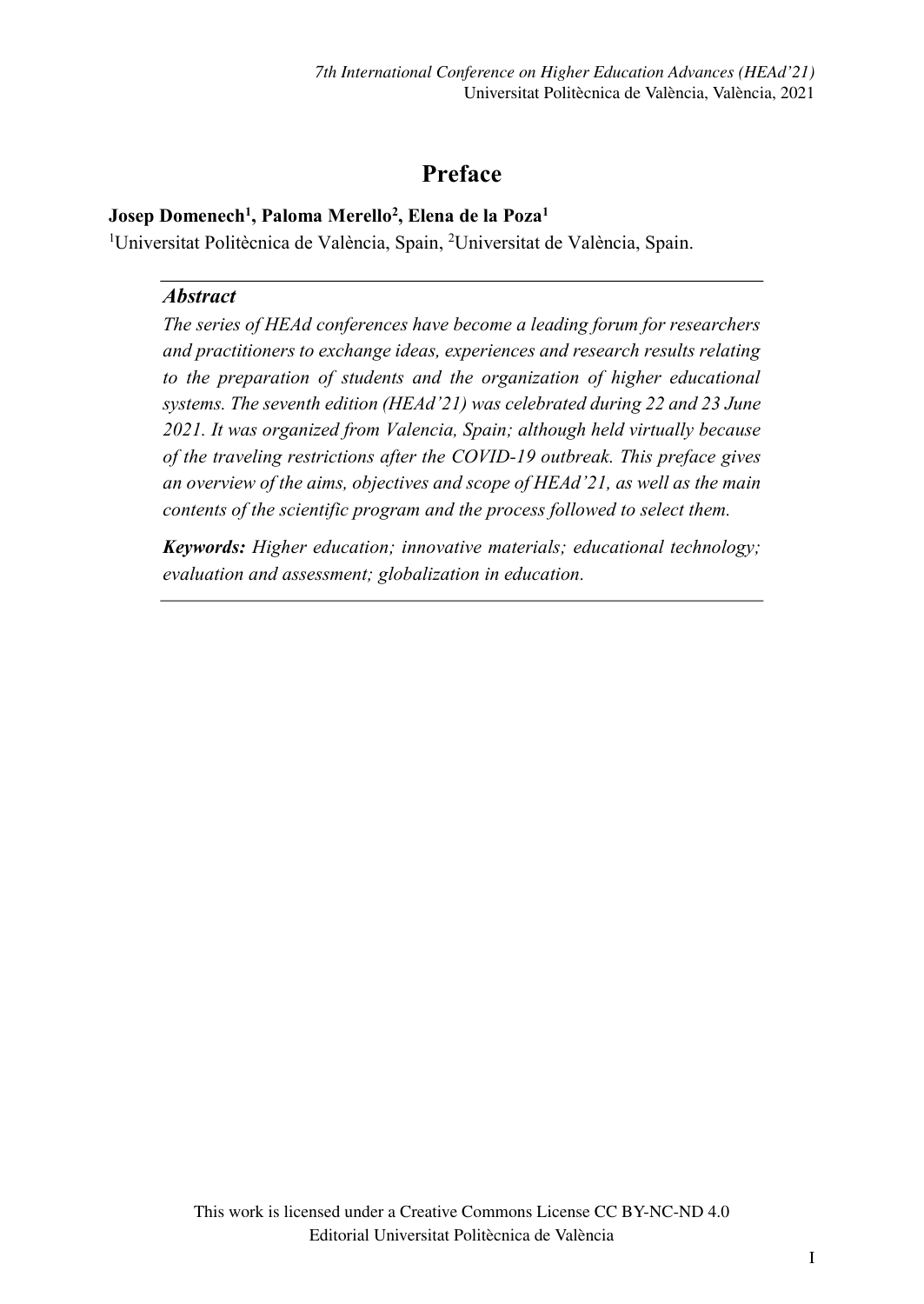# **Preface**

#### **Josep Domenech1 , Paloma Merello2 , Elena de la Poza1**

<sup>1</sup>Universitat Politècnica de València, Spain, <sup>2</sup>Universitat de València, Spain.

#### *Abstract*

*The series of HEAd conferences have become a leading forum for researchers and practitioners to exchange ideas, experiences and research results relating to the preparation of students and the organization of higher educational systems. The seventh* edition (HEAd'*21) was celebrated during 22 and 23 June 2021. It was organized from Valencia, Spain; although held virtually because of the traveling restrictions after the COVID-19 outbreak. This preface gives*  an overview of the aims, objectives and scope of HEAd'*21, as well as the main contents of the scientific program and the process followed to select them.* 

*Keywords: Higher education; innovative materials; educational technology; evaluation and assessment; globalization in education.*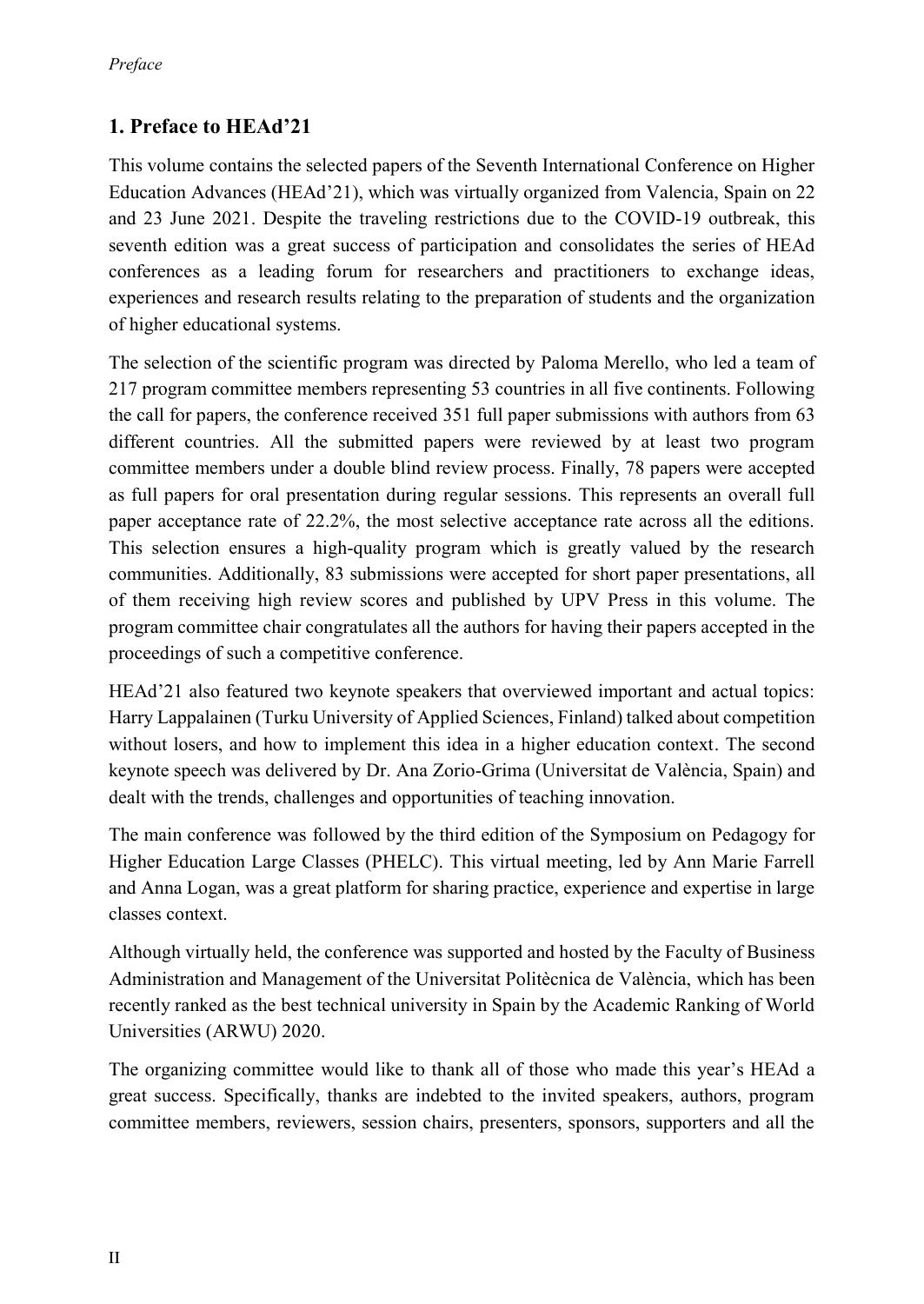# **1. Preface to H**EAd'**21**

This volume contains the selected papers of the Seventh International Conference on Higher Education Advances (HEAd'21), which was virtually organized from Valencia, Spain on 22 and 23 June 2021. Despite the traveling restrictions due to the COVID-19 outbreak, this seventh edition was a great success of participation and consolidates the series of HEAd conferences as a leading forum for researchers and practitioners to exchange ideas, experiences and research results relating to the preparation of students and the organization of higher educational systems.

The selection of the scientific program was directed by Paloma Merello, who led a team of 217 program committee members representing 53 countries in all five continents. Following the call for papers, the conference received 351 full paper submissions with authors from 63 different countries. All the submitted papers were reviewed by at least two program committee members under a double blind review process. Finally, 78 papers were accepted as full papers for oral presentation during regular sessions. This represents an overall full paper acceptance rate of 22.2%, the most selective acceptance rate across all the editions. This selection ensures a high-quality program which is greatly valued by the research communities. Additionally, 83 submissions were accepted for short paper presentations, all of them receiving high review scores and published by UPV Press in this volume. The program committee chair congratulates all the authors for having their papers accepted in the proceedings of such a competitive conference.

HEAd'21 also featured two keynote speakers that overviewed important and actual topics: Harry Lappalainen (Turku University of Applied Sciences, Finland) talked about competition without losers, and how to implement this idea in a higher education context. The second keynote speech was delivered by Dr. Ana Zorio-Grima (Universitat de València, Spain) and dealt with the trends, challenges and opportunities of teaching innovation.

The main conference was followed by the third edition of the Symposium on Pedagogy for Higher Education Large Classes (PHELC). This virtual meeting, led by Ann Marie Farrell and Anna Logan, was a great platform for sharing practice, experience and expertise in large classes context.

Although virtually held, the conference was supported and hosted by the Faculty of Business Administration and Management of the Universitat Politècnica de València, which has been recently ranked as the best technical university in Spain by the Academic Ranking of World Universities (ARWU) 2020.

The organizing committee would like to thank all of those who made this year's HEAd a great success. Specifically, thanks are indebted to the invited speakers, authors, program committee members, reviewers, session chairs, presenters, sponsors, supporters and all the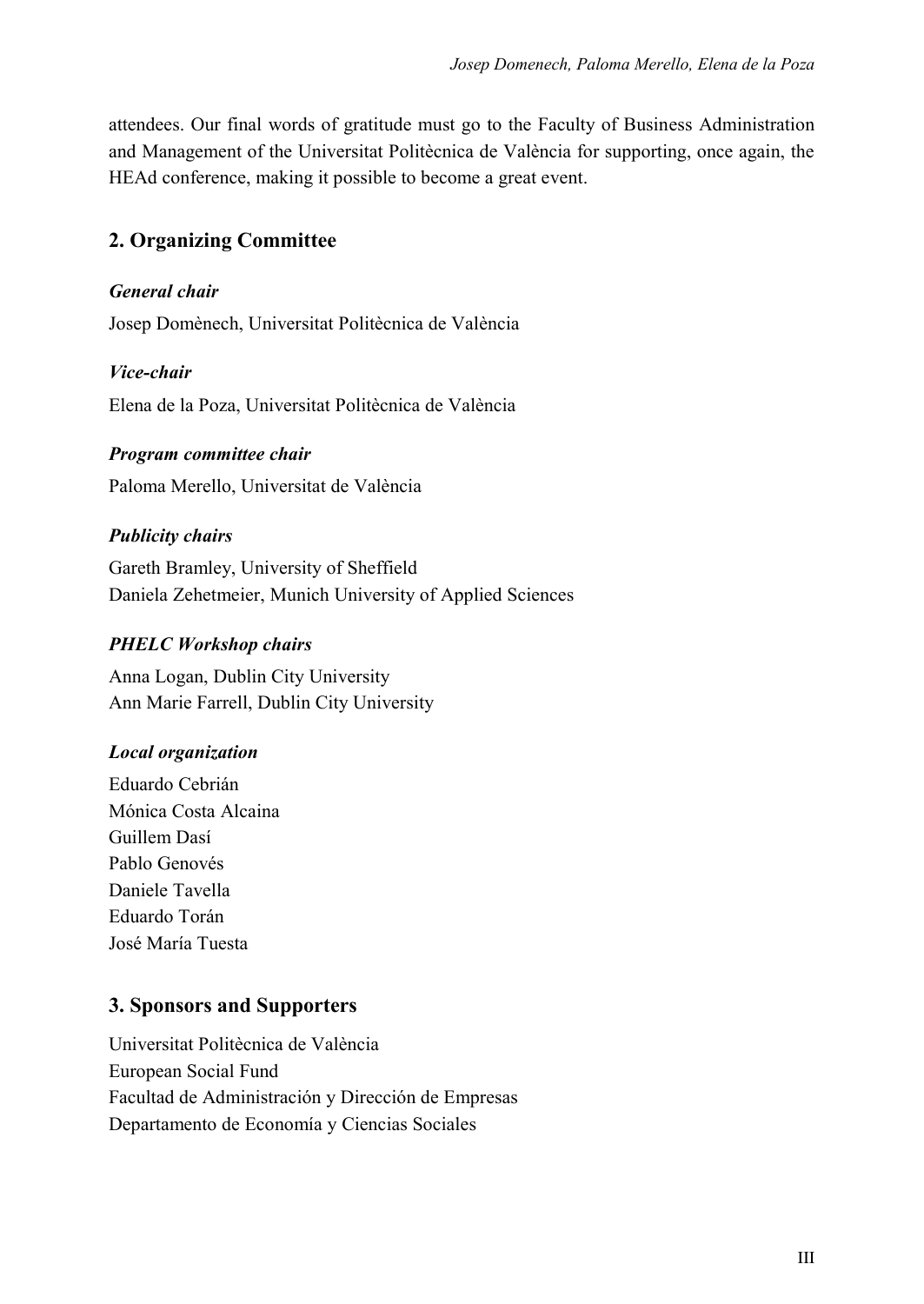attendees. Our final words of gratitude must go to the Faculty of Business Administration and Management of the Universitat Politècnica de València for supporting, once again, the HEAd conference, making it possible to become a great event.

# **2. Organizing Committee**

#### *General chair*

Josep Domènech, Universitat Politècnica de València

#### *Vice-chair*

Elena de la Poza, Universitat Politècnica de València

#### *Program committee chair*

Paloma Merello, Universitat de València

#### *Publicity chairs*

Gareth Bramley, University of Sheffield Daniela Zehetmeier, Munich University of Applied Sciences

#### *PHELC Workshop chairs*

Anna Logan, Dublin City University Ann Marie Farrell, Dublin City University

#### *Local organization*

Eduardo Cebrián Mónica Costa Alcaina Guillem Dasí Pablo Genovés Daniele Tavella Eduardo Torán José María Tuesta

#### **3. Sponsors and Supporters**

Universitat Politècnica de València European Social Fund Facultad de Administración y Dirección de Empresas Departamento de Economía y Ciencias Sociales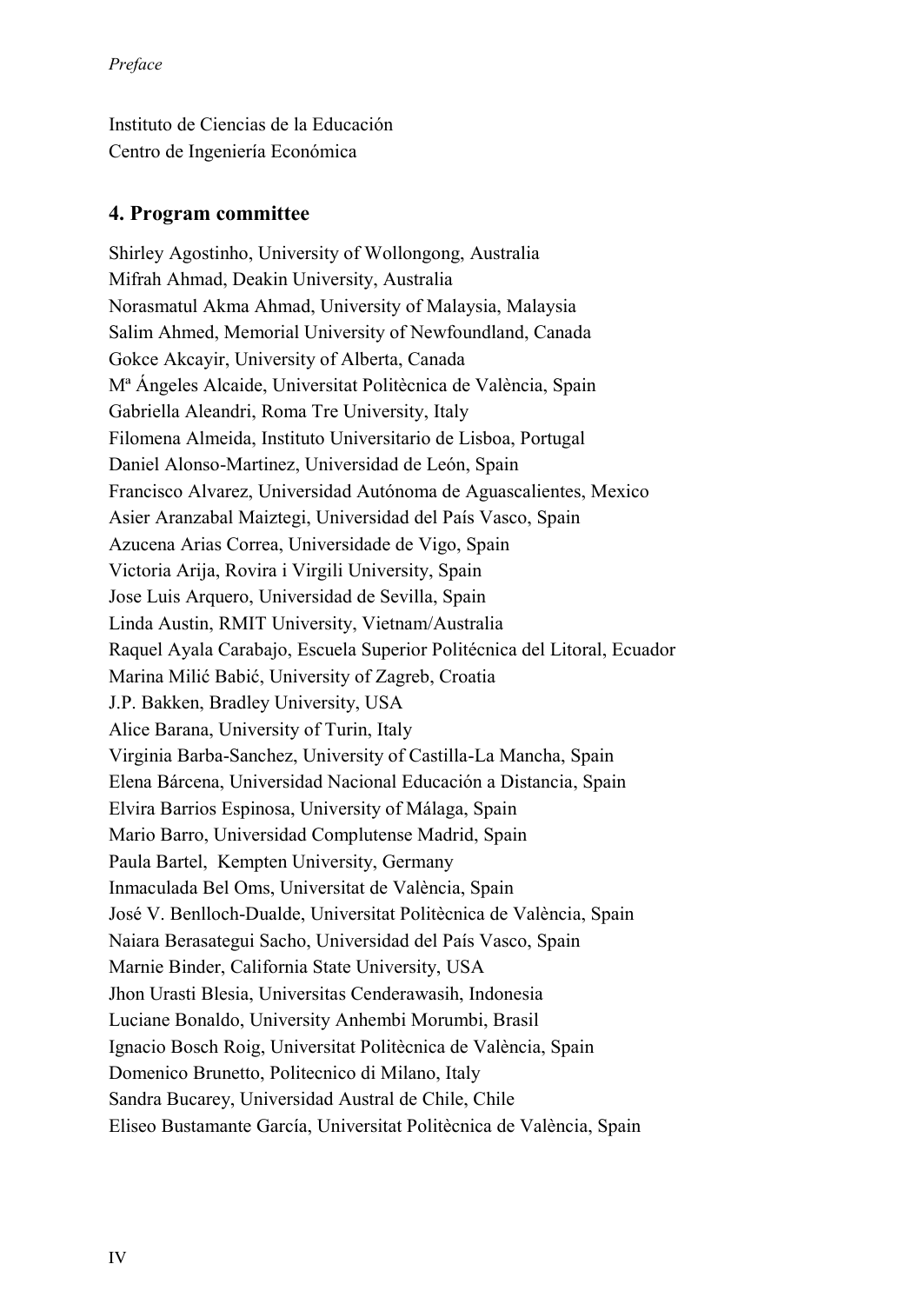Instituto de Ciencias de la Educación Centro de Ingeniería Económica

#### **4. Program committee**

Shirley Agostinho, University of Wollongong, Australia Mifrah Ahmad, Deakin University, Australia Norasmatul Akma Ahmad, University of Malaysia, Malaysia Salim Ahmed, Memorial University of Newfoundland, Canada Gokce Akcayir, University of Alberta, Canada Mª Ángeles Alcaide, Universitat Politècnica de València, Spain Gabriella Aleandri, Roma Tre University, Italy Filomena Almeida, Instituto Universitario de Lisboa, Portugal Daniel Alonso-Martinez, Universidad de León, Spain Francisco Alvarez, Universidad Autónoma de Aguascalientes, Mexico Asier Aranzabal Maiztegi, Universidad del País Vasco, Spain Azucena Arias Correa, Universidade de Vigo, Spain Victoria Arija, Rovira i Virgili University, Spain Jose Luis Arquero, Universidad de Sevilla, Spain Linda Austin, RMIT University, Vietnam/Australia Raquel Ayala Carabajo, Escuela Superior Politécnica del Litoral, Ecuador Marina Milić Babić, University of Zagreb, Croatia J.P. Bakken, Bradley University, USA Alice Barana, University of Turin, Italy Virginia Barba-Sanchez, University of Castilla-La Mancha, Spain Elena Bárcena, Universidad Nacional Educación a Distancia, Spain Elvira Barrios Espinosa, University of Málaga, Spain Mario Barro, Universidad Complutense Madrid, Spain Paula Bartel, Kempten University, Germany Inmaculada Bel Oms, Universitat de València, Spain José V. Benlloch-Dualde, Universitat Politècnica de València, Spain Naiara Berasategui Sacho, Universidad del País Vasco, Spain Marnie Binder, California State University, USA Jhon Urasti Blesia, Universitas Cenderawasih, Indonesia Luciane Bonaldo, University Anhembi Morumbi, Brasil Ignacio Bosch Roig, Universitat Politècnica de València, Spain Domenico Brunetto, Politecnico di Milano, Italy Sandra Bucarey, Universidad Austral de Chile, Chile Eliseo Bustamante García, Universitat Politècnica de València, Spain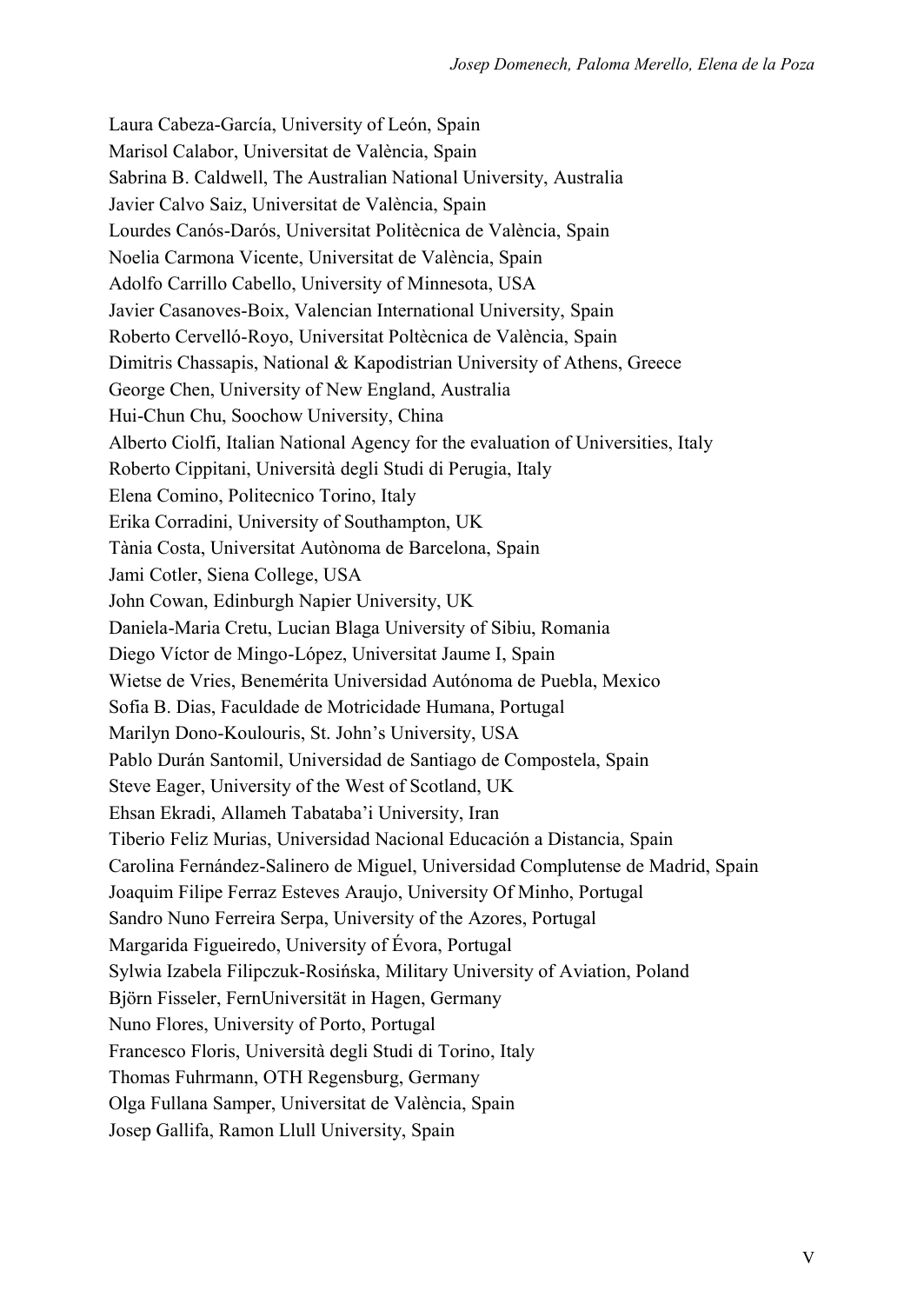Laura Cabeza-García, University of León, Spain Marisol Calabor, Universitat de València, Spain Sabrina B. Caldwell, The Australian National University, Australia Javier Calvo Saiz, Universitat de València, Spain Lourdes Canós-Darós, Universitat Politècnica de València, Spain Noelia Carmona Vicente, Universitat de València, Spain Adolfo Carrillo Cabello, University of Minnesota, USA Javier Casanoves-Boix, Valencian International University, Spain Roberto Cervelló-Royo, Universitat Poltècnica de València, Spain Dimitris Chassapis, National & Kapodistrian University of Athens, Greece George Chen, University of New England, Australia Hui-Chun Chu, Soochow University, China Alberto Ciolfi, Italian National Agency for the evaluation of Universities, Italy Roberto Cippitani, Università degli Studi di Perugia, Italy Elena Comino, Politecnico Torino, Italy Erika Corradini, University of Southampton, UK Tània Costa, Universitat Autònoma de Barcelona, Spain Jami Cotler, Siena College, USA John Cowan, Edinburgh Napier University, UK Daniela-Maria Cretu, Lucian Blaga University of Sibiu, Romania Diego Víctor de Mingo-López, Universitat Jaume I, Spain Wietse de Vries, Benemérita Universidad Autónoma de Puebla, Mexico Sofia B. Dias, Faculdade de Motricidade Humana, Portugal Marilyn Dono-Koulouris, St. John's University, USA Pablo Durán Santomil, Universidad de Santiago de Compostela, Spain Steve Eager, University of the West of Scotland, UK Ehsan Ekradi, Allameh Tabataba'i University, Iran Tiberio Feliz Murias, Universidad Nacional Educación a Distancia, Spain Carolina Fernández-Salinero de Miguel, Universidad Complutense de Madrid, Spain Joaquim Filipe Ferraz Esteves Araujo, University Of Minho, Portugal Sandro Nuno Ferreira Serpa, University of the Azores, Portugal Margarida Figueiredo, University of Évora, Portugal Sylwia Izabela Filipczuk-Rosińska, Military University of Aviation, Poland Björn Fisseler, FernUniversität in Hagen, Germany Nuno Flores, University of Porto, Portugal Francesco Floris, Università degli Studi di Torino, Italy Thomas Fuhrmann, OTH Regensburg, Germany Olga Fullana Samper, Universitat de València, Spain Josep Gallifa, Ramon Llull University, Spain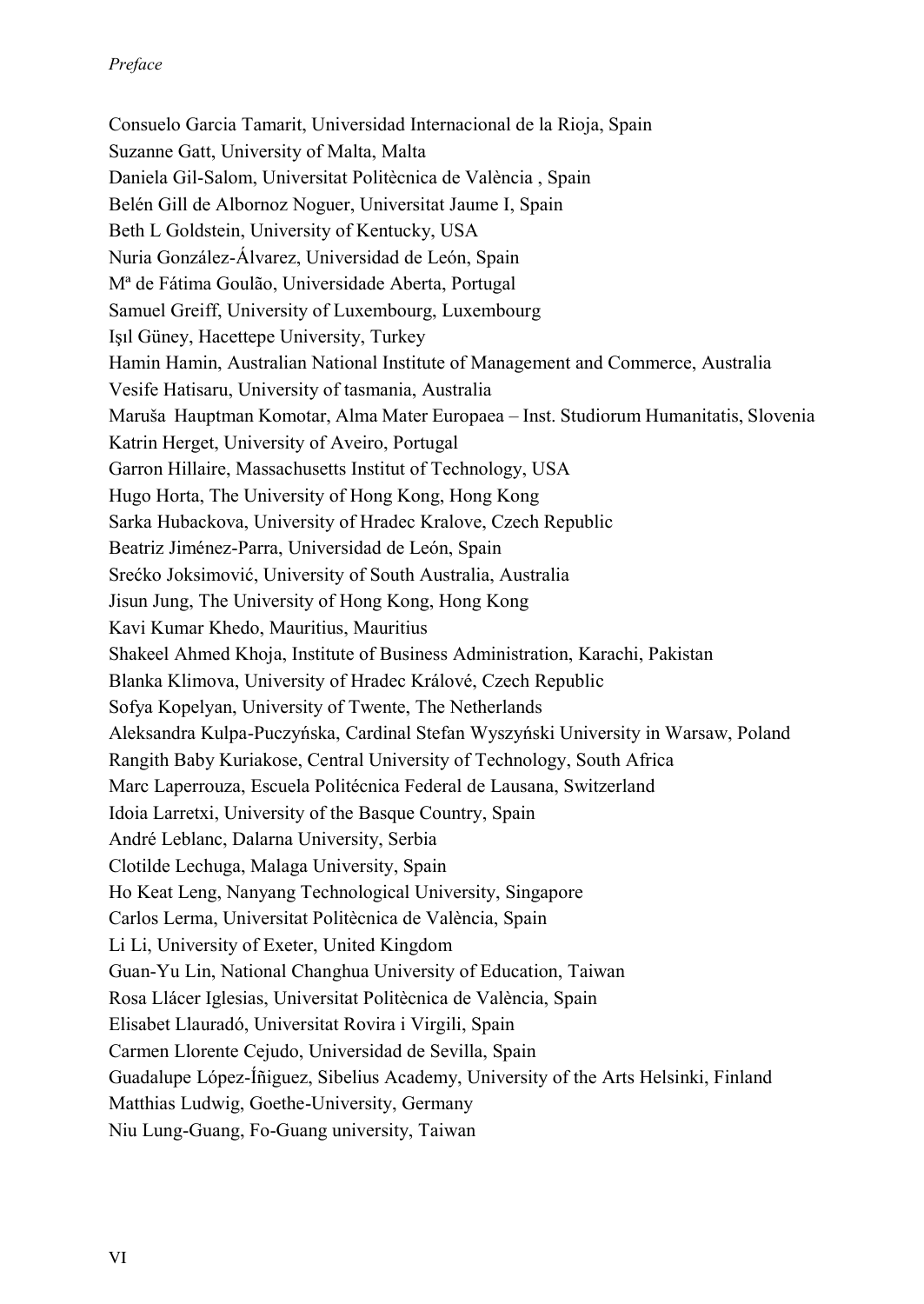Consuelo Garcia Tamarit, Universidad Internacional de la Rioja, Spain Suzanne Gatt, University of Malta, Malta Daniela Gil-Salom, Universitat Politècnica de València , Spain Belén Gill de Albornoz Noguer, Universitat Jaume I, Spain Beth L Goldstein, University of Kentucky, USA Nuria González-Álvarez, Universidad de León, Spain Mª de Fátima Goulão, Universidade Aberta, Portugal Samuel Greiff, University of Luxembourg, Luxembourg Işıl Güney, Hacettepe University, Turkey Hamin Hamin, Australian National Institute of Management and Commerce, Australia Vesife Hatisaru, University of tasmania, Australia Maruša Hauptman Komotar, Alma Mater Europaea – Inst. Studiorum Humanitatis, Slovenia Katrin Herget, University of Aveiro, Portugal Garron Hillaire, Massachusetts Institut of Technology, USA Hugo Horta, The University of Hong Kong, Hong Kong Sarka Hubackova, University of Hradec Kralove, Czech Republic Beatriz Jiménez-Parra, Universidad de León, Spain Srećko Joksimović, University of South Australia, Australia Jisun Jung, The University of Hong Kong, Hong Kong Kavi Kumar Khedo, Mauritius, Mauritius Shakeel Ahmed Khoja, Institute of Business Administration, Karachi, Pakistan Blanka Klimova, University of Hradec Králové, Czech Republic Sofya Kopelyan, University of Twente, The Netherlands Aleksandra Kulpa-Puczyńska, Cardinal Stefan Wyszyński University in Warsaw, Poland Rangith Baby Kuriakose, Central University of Technology, South Africa Marc Laperrouza, Escuela Politécnica Federal de Lausana, Switzerland Idoia Larretxi, University of the Basque Country, Spain André Leblanc, Dalarna University, Serbia Clotilde Lechuga, Malaga University, Spain Ho Keat Leng, Nanyang Technological University, Singapore Carlos Lerma, Universitat Politècnica de València, Spain Li Li, University of Exeter, United Kingdom Guan-Yu Lin, National Changhua University of Education, Taiwan Rosa Llácer Iglesias, Universitat Politècnica de València, Spain Elisabet Llauradó, Universitat Rovira i Virgili, Spain Carmen Llorente Cejudo, Universidad de Sevilla, Spain Guadalupe López-Íñiguez, Sibelius Academy, University of the Arts Helsinki, Finland Matthias Ludwig, Goethe-University, Germany Niu Lung-Guang, Fo-Guang university, Taiwan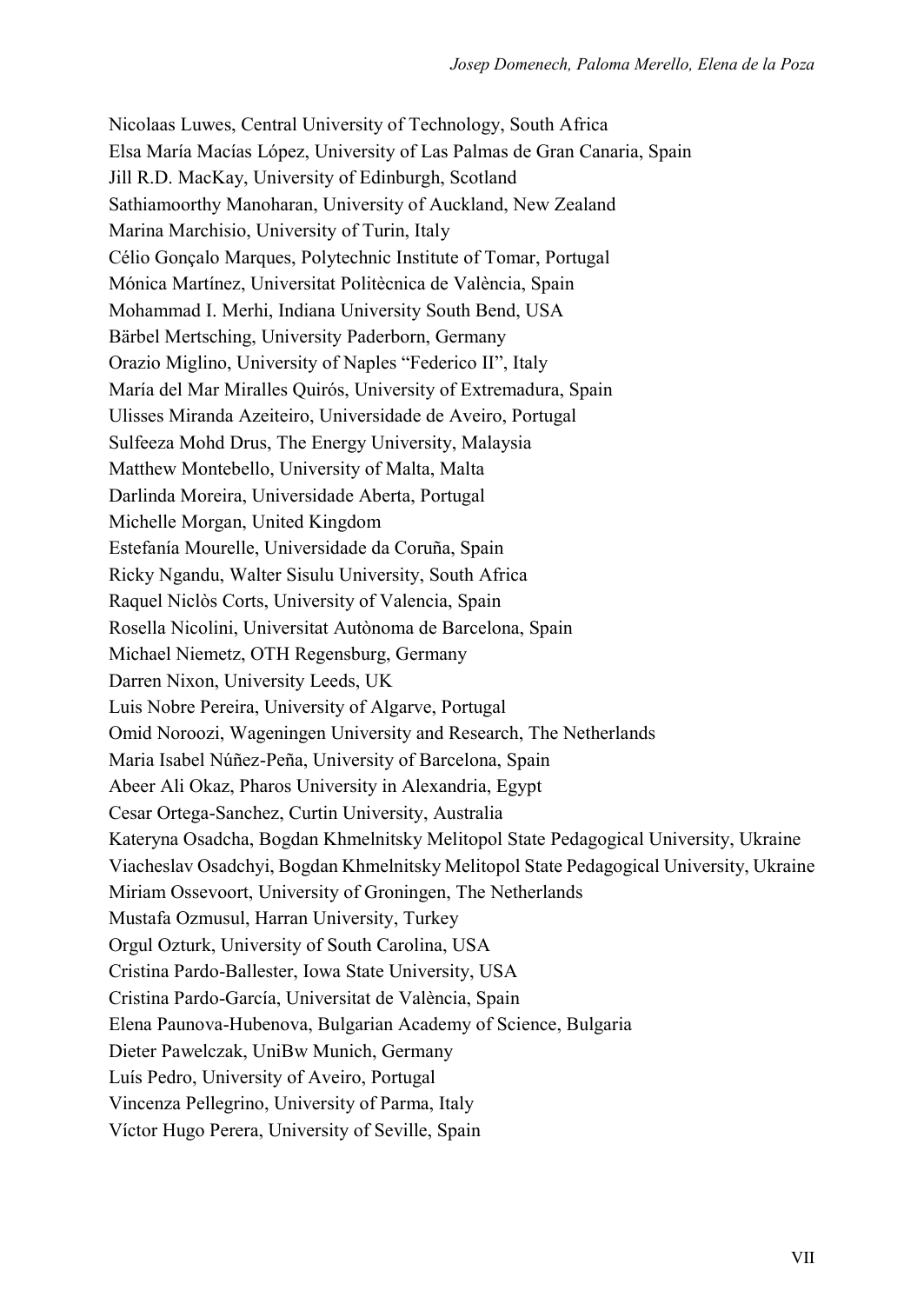Nicolaas Luwes, Central University of Technology, South Africa Elsa María Macías López, University of Las Palmas de Gran Canaria, Spain Jill R.D. MacKay, University of Edinburgh, Scotland Sathiamoorthy Manoharan, University of Auckland, New Zealand Marina Marchisio, University of Turin, Italy Célio Gonçalo Marques, Polytechnic Institute of Tomar, Portugal Mónica Martínez, Universitat Politècnica de València, Spain Mohammad I. Merhi, Indiana University South Bend, USA Bärbel Mertsching, University Paderborn, Germany Orazio Miglino, University of Naples "Federico II", Italy María del Mar Miralles Quirós, University of Extremadura, Spain Ulisses Miranda Azeiteiro, Universidade de Aveiro, Portugal Sulfeeza Mohd Drus, The Energy University, Malaysia Matthew Montebello, University of Malta, Malta Darlinda Moreira, Universidade Aberta, Portugal Michelle Morgan, United Kingdom Estefanía Mourelle, Universidade da Coruña, Spain Ricky Ngandu, Walter Sisulu University, South Africa Raquel Niclòs Corts, University of Valencia, Spain Rosella Nicolini, Universitat Autònoma de Barcelona, Spain Michael Niemetz, OTH Regensburg, Germany Darren Nixon, University Leeds, UK Luis Nobre Pereira, University of Algarve, Portugal Omid Noroozi, Wageningen University and Research, The Netherlands Maria Isabel Núñez-Peña, University of Barcelona, Spain Abeer Ali Okaz, Pharos University in Alexandria, Egypt Cesar Ortega-Sanchez, Curtin University, Australia Kateryna Osadcha, Bogdan Khmelnitsky Melitopol State Pedagogical University, Ukraine Viacheslav Osadchyi, Bogdan Khmelnitsky Melitopol State Pedagogical University, Ukraine Miriam Ossevoort, University of Groningen, The Netherlands Mustafa Ozmusul, Harran University, Turkey Orgul Ozturk, University of South Carolina, USA Cristina Pardo-Ballester, Iowa State University, USA Cristina Pardo-García, Universitat de València, Spain Elena Paunova-Hubenova, Bulgarian Academy of Science, Bulgaria Dieter Pawelczak, UniBw Munich, Germany Luís Pedro, University of Aveiro, Portugal Vincenza Pellegrino, University of Parma, Italy Víctor Hugo Perera, University of Seville, Spain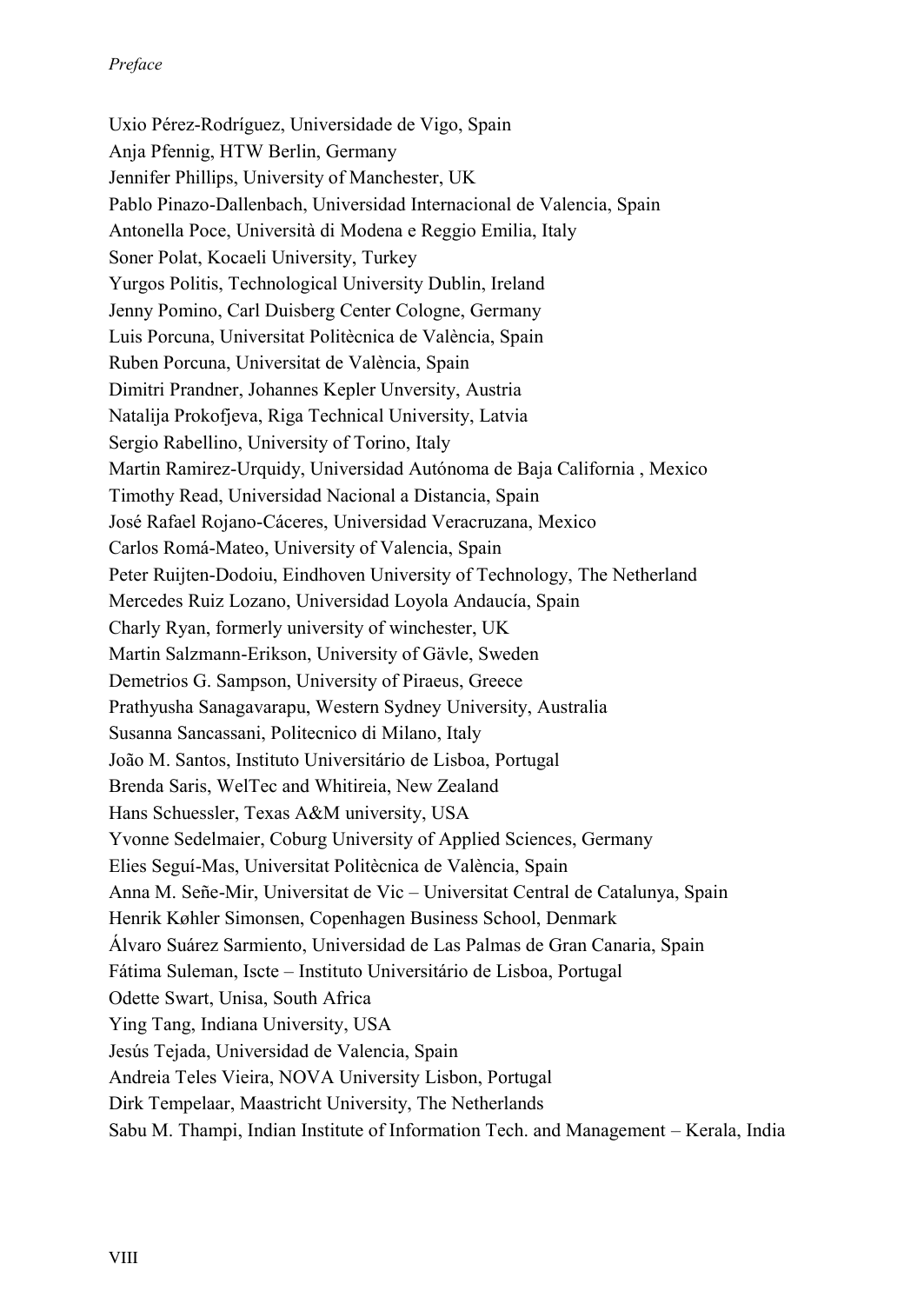Uxio Pérez-Rodríguez, Universidade de Vigo, Spain Anja Pfennig, HTW Berlin, Germany Jennifer Phillips, University of Manchester, UK Pablo Pinazo-Dallenbach, Universidad Internacional de Valencia, Spain Antonella Poce, Università di Modena e Reggio Emilia, Italy Soner Polat, Kocaeli University, Turkey Yurgos Politis, Technological University Dublin, Ireland Jenny Pomino, Carl Duisberg Center Cologne, Germany Luis Porcuna, Universitat Politècnica de València, Spain Ruben Porcuna, Universitat de València, Spain Dimitri Prandner, Johannes Kepler Unversity, Austria Natalija Prokofjeva, Riga Technical University, Latvia Sergio Rabellino, University of Torino, Italy Martin Ramirez-Urquidy, Universidad Autónoma de Baja California , Mexico Timothy Read, Universidad Nacional a Distancia, Spain José Rafael Rojano-Cáceres, Universidad Veracruzana, Mexico Carlos Romá-Mateo, University of Valencia, Spain Peter Ruijten-Dodoiu, Eindhoven University of Technology, The Netherland Mercedes Ruiz Lozano, Universidad Loyola Andaucía, Spain Charly Ryan, formerly university of winchester, UK Martin Salzmann-Erikson, University of Gävle, Sweden Demetrios G. Sampson, University of Piraeus, Greece Prathyusha Sanagavarapu, Western Sydney University, Australia Susanna Sancassani, Politecnico di Milano, Italy João M. Santos, Instituto Universitário de Lisboa, Portugal Brenda Saris, WelTec and Whitireia, New Zealand Hans Schuessler, Texas A&M university, USA Yvonne Sedelmaier, Coburg University of Applied Sciences, Germany Elies Seguí-Mas, Universitat Politècnica de València, Spain Anna M. Señe-Mir, Universitat de Vic – Universitat Central de Catalunya, Spain Henrik Køhler Simonsen, Copenhagen Business School, Denmark Álvaro Suárez Sarmiento, Universidad de Las Palmas de Gran Canaria, Spain Fátima Suleman, Iscte – Instituto Universitário de Lisboa, Portugal Odette Swart, Unisa, South Africa Ying Tang, Indiana University, USA Jesús Tejada, Universidad de Valencia, Spain Andreia Teles Vieira, NOVA University Lisbon, Portugal Dirk Tempelaar, Maastricht University, The Netherlands Sabu M. Thampi, Indian Institute of Information Tech. and Management – Kerala, India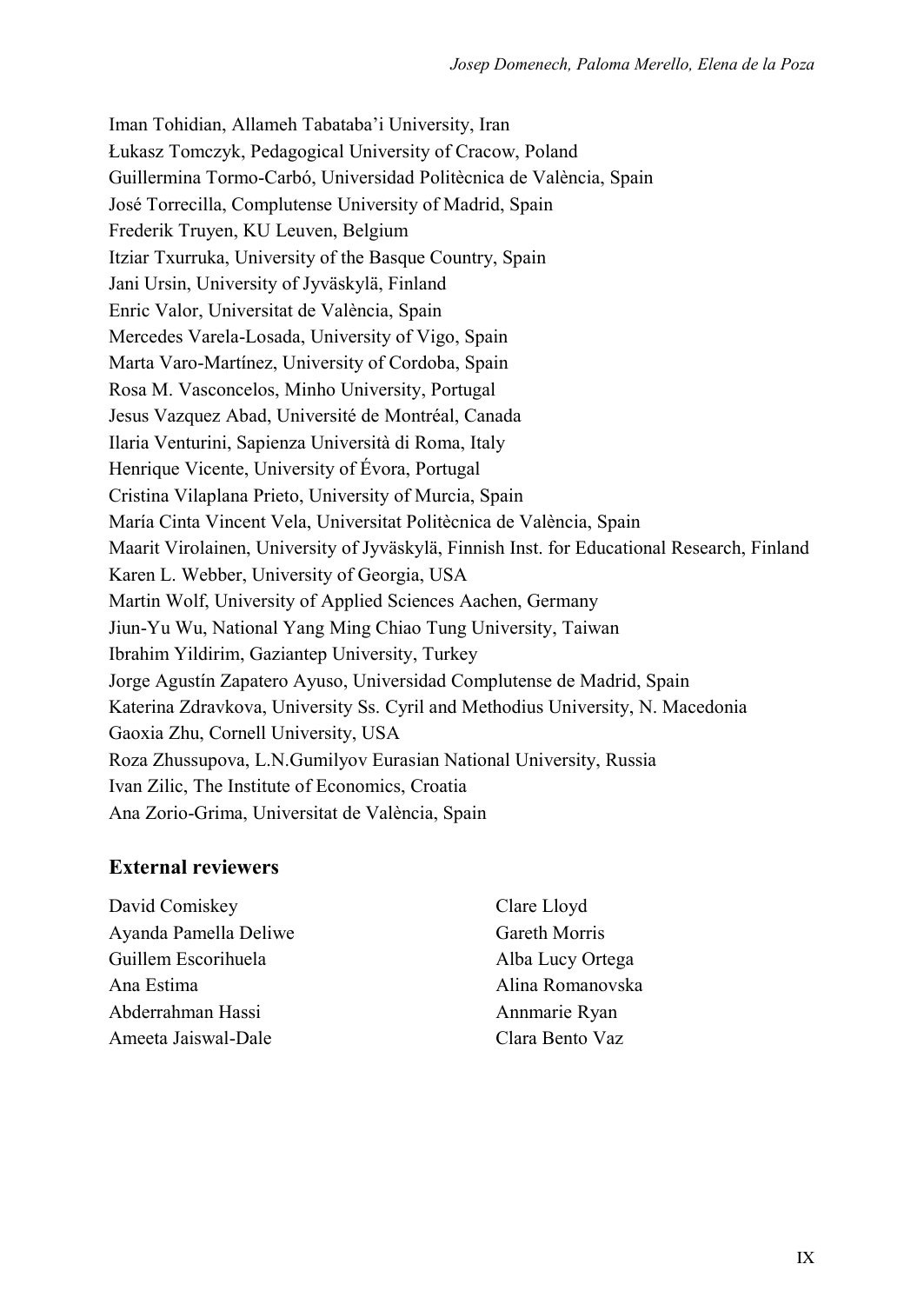Iman Tohidian, Allameh Tabataba'i University, Iran Łukasz Tomczyk, Pedagogical University of Cracow, Poland Guillermina Tormo-Carbó, Universidad Politècnica de València, Spain José Torrecilla, Complutense University of Madrid, Spain Frederik Truyen, KU Leuven, Belgium Itziar Txurruka, University of the Basque Country, Spain Jani Ursin, University of Jyväskylä, Finland Enric Valor, Universitat de València, Spain Mercedes Varela-Losada, University of Vigo, Spain Marta Varo-Martínez, University of Cordoba, Spain Rosa M. Vasconcelos, Minho University, Portugal Jesus Vazquez Abad, Université de Montréal, Canada Ilaria Venturini, Sapienza Università di Roma, Italy Henrique Vicente, University of Évora, Portugal Cristina Vilaplana Prieto, University of Murcia, Spain María Cinta Vincent Vela, Universitat Politècnica de València, Spain Maarit Virolainen, University of Jyväskylä, Finnish Inst. for Educational Research, Finland Karen L. Webber, University of Georgia, USA Martin Wolf, University of Applied Sciences Aachen, Germany Jiun-Yu Wu, National Yang Ming Chiao Tung University, Taiwan Ibrahim Yildirim, Gaziantep University, Turkey Jorge Agustín Zapatero Ayuso, Universidad Complutense de Madrid, Spain Katerina Zdravkova, University Ss. Cyril and Methodius University, N. Macedonia Gaoxia Zhu, Cornell University, USA Roza Zhussupova, L.N.Gumilyov Eurasian National University, Russia Ivan Zilic, The Institute of Economics, Croatia Ana Zorio-Grima, Universitat de València, Spain

#### **External reviewers**

David Comiskey Ayanda Pamella Deliwe Guillem Escorihuela Ana Estima Abderrahman Hassi Ameeta Jaiswal-Dale

Clare Lloyd Gareth Morris Alba Lucy Ortega Alina Romanovska Annmarie Ryan Clara Bento Vaz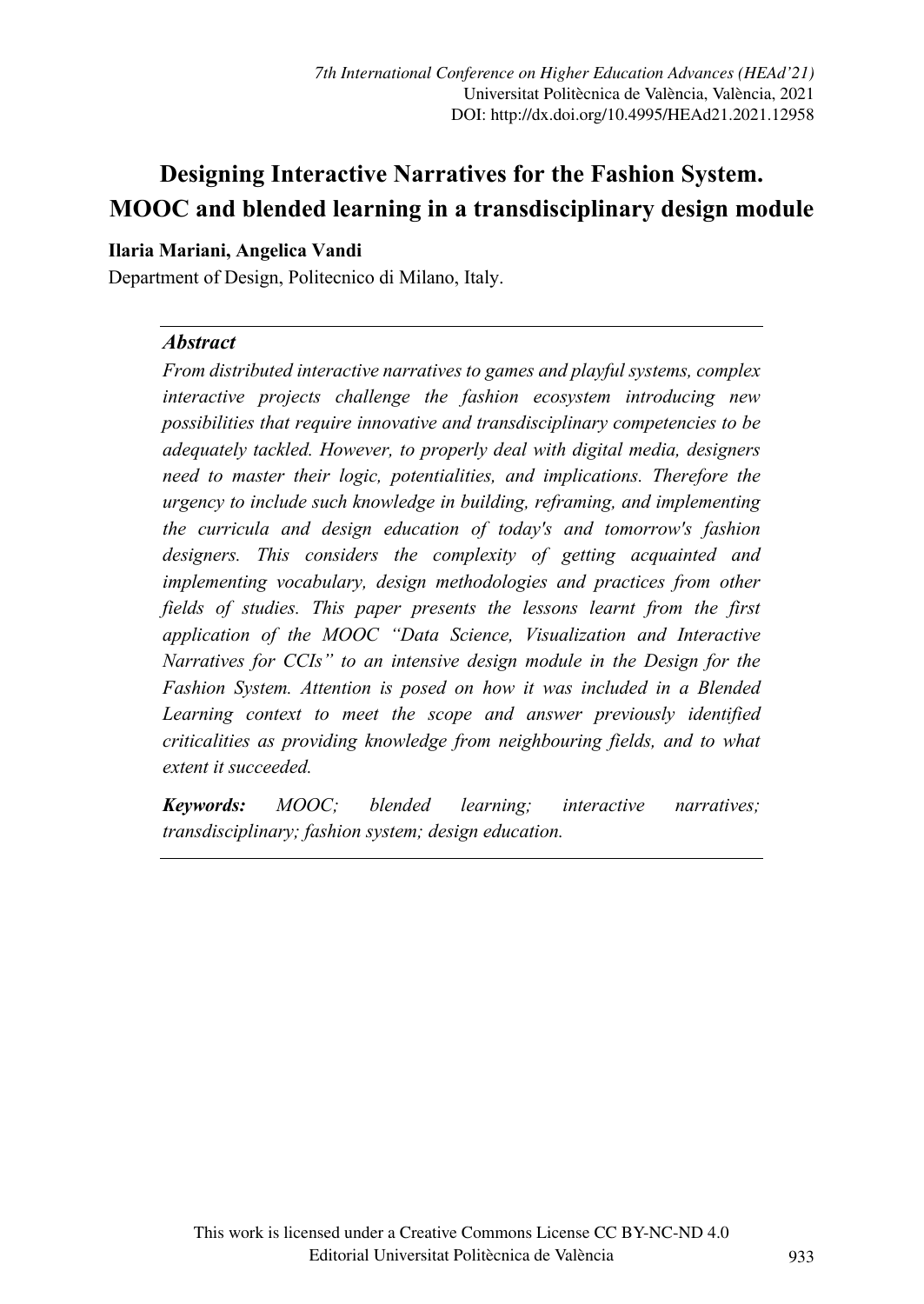# Designing Interactive Narratives for the Fashion System. MOOC and blended learning in a transdisciplinary design module

#### Ilaria Mariani, Angelica Vandi

Department of Design, Politecnico di Milano, Italy.

#### **Abstract**

From distributed interactive narratives to games and playful systems, complex interactive projects challenge the fashion ecosystem introducing new possibilities that require innovative and transdisciplinary competencies to be adequately tackled. However, to properly deal with digital media, designers need to master their logic, potentialities, and implications. Therefore the urgency to include such knowledge in building, reframing, and implementing the curricula and design education of today's and tomorrow's fashion designers. This considers the complexity of getting acquainted and implementing vocabulary, design methodologies and practices from other fields of studies. This paper presents the lessons learnt from the first application of the MOOC "Data Science, Visualization and Interactive Narratives for CCIs" to an intensive design module in the Design for the Fashion System. Attention is posed on how it was included in a Blended Learning context to meet the scope and answer previously identified criticalities as providing knowledge from neighbouring fields, and to what extent it succeeded.

Keywords: MOOC; blended learning; interactive narratives; transdisciplinary; fashion system; design education.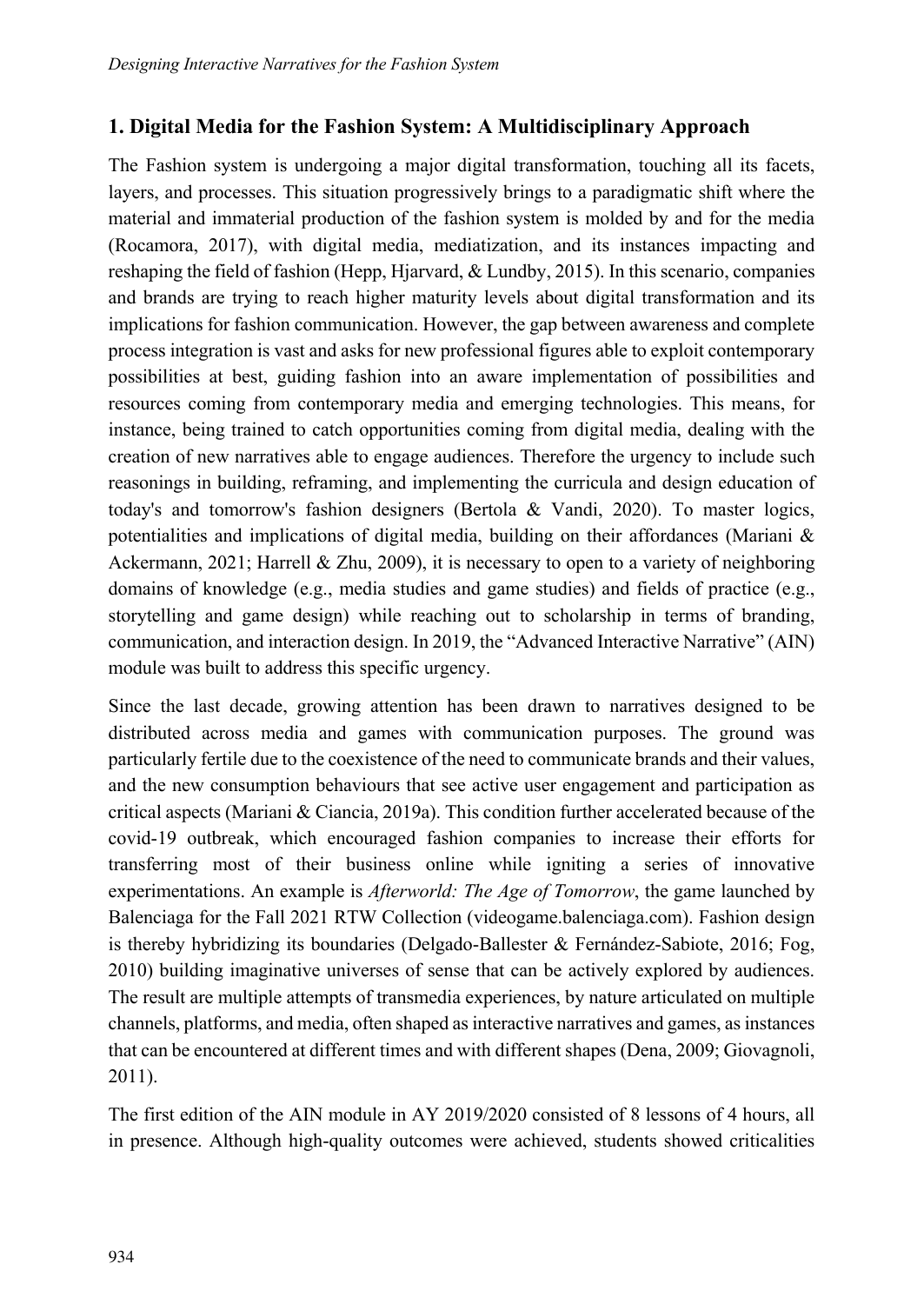# 1. Digital Media for the Fashion System: A Multidisciplinary Approach

The Fashion system is undergoing a major digital transformation, touching all its facets, layers, and processes. This situation progressively brings to a paradigmatic shift where the material and immaterial production of the fashion system is molded by and for the media (Rocamora, 2017), with digital media, mediatization, and its instances impacting and reshaping the field of fashion (Hepp, Hjarvard, & Lundby, 2015). In this scenario, companies and brands are trying to reach higher maturity levels about digital transformation and its implications for fashion communication. However, the gap between awareness and complete process integration is vast and asks for new professional figures able to exploit contemporary possibilities at best, guiding fashion into an aware implementation of possibilities and resources coming from contemporary media and emerging technologies. This means, for instance, being trained to catch opportunities coming from digital media, dealing with the creation of new narratives able to engage audiences. Therefore the urgency to include such reasonings in building, reframing, and implementing the curricula and design education of today's and tomorrow's fashion designers (Bertola & Vandi, 2020). To master logics, potentialities and implications of digital media, building on their affordances (Mariani & Ackermann, 2021; Harrell & Zhu, 2009), it is necessary to open to a variety of neighboring domains of knowledge (e.g., media studies and game studies) and fields of practice (e.g., storytelling and game design) while reaching out to scholarship in terms of branding, communication, and interaction design. In 2019, the "Advanced Interactive Narrative" (AIN) module was built to address this specific urgency.

Since the last decade, growing attention has been drawn to narratives designed to be distributed across media and games with communication purposes. The ground was particularly fertile due to the coexistence of the need to communicate brands and their values, and the new consumption behaviours that see active user engagement and participation as critical aspects (Mariani & Ciancia, 2019a). This condition further accelerated because of the covid-19 outbreak, which encouraged fashion companies to increase their efforts for transferring most of their business online while igniting a series of innovative experimentations. An example is *Afterworld: The Age of Tomorrow*, the game launched by Balenciaga for the Fall 2021 RTW Collection (videogame.balenciaga.com). Fashion design is thereby hybridizing its boundaries (Delgado-Ballester & Fernández-Sabiote, 2016; Fog, 2010) building imaginative universes of sense that can be actively explored by audiences. The result are multiple attempts of transmedia experiences, by nature articulated on multiple channels, platforms, and media, often shaped as interactive narratives and games, as instances that can be encountered at different times and with different shapes (Dena, 2009; Giovagnoli, 2011).

The first edition of the AIN module in AY 2019/2020 consisted of 8 lessons of 4 hours, all in presence. Although high-quality outcomes were achieved, students showed criticalities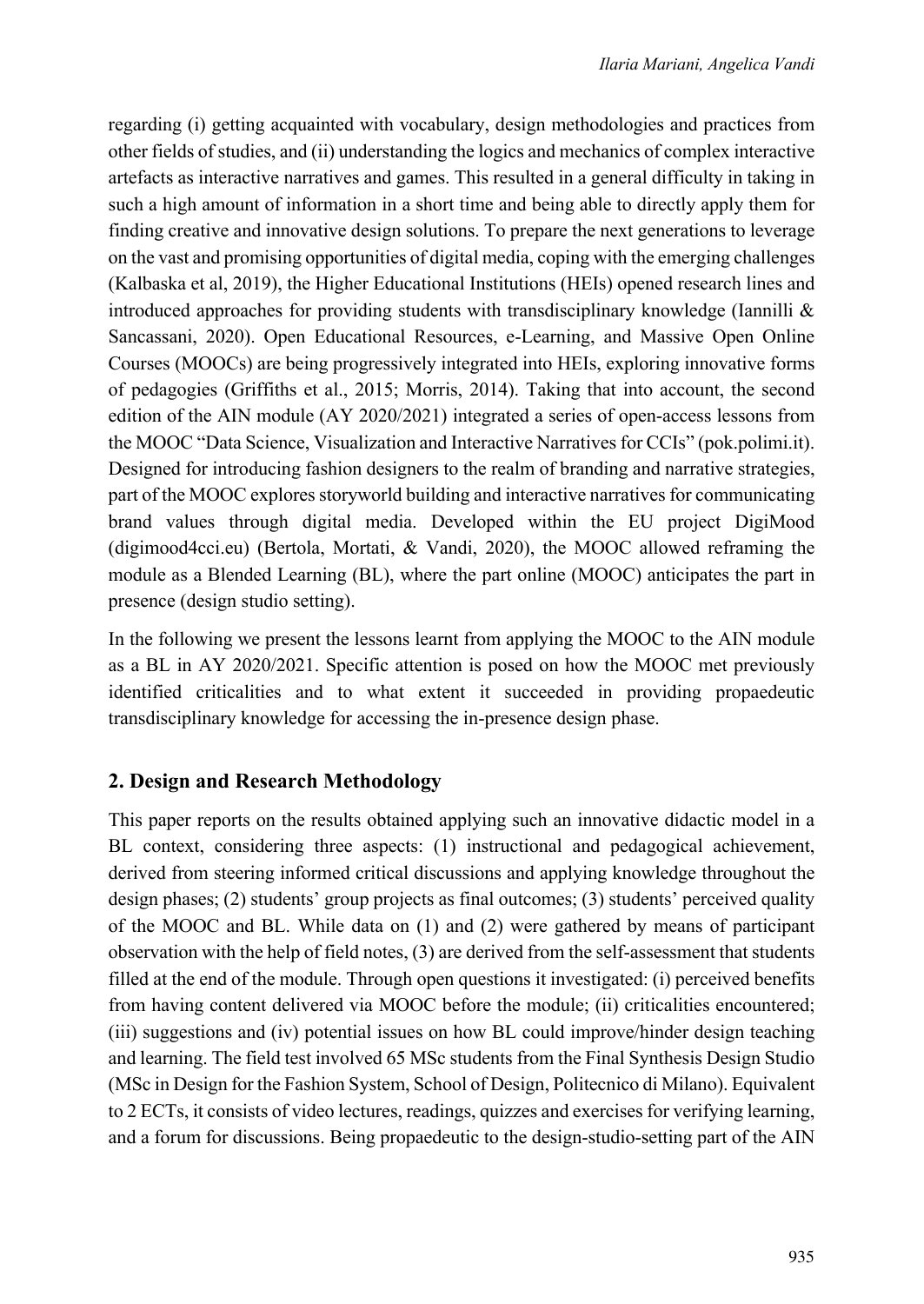regarding (i) getting acquainted with vocabulary, design methodologies and practices from other fields of studies, and (ii) understanding the logics and mechanics of complex interactive artefacts as interactive narratives and games. This resulted in a general difficulty in taking in such a high amount of information in a short time and being able to directly apply them for finding creative and innovative design solutions. To prepare the next generations to leverage on the vast and promising opportunities of digital media, coping with the emerging challenges (Kalbaska et al, 2019), the Higher Educational Institutions (HEIs) opened research lines and introduced approaches for providing students with transdisciplinary knowledge (Iannilli  $\&$ Sancassani, 2020). Open Educational Resources, e-Learning, and Massive Open Online Courses (MOOCs) are being progressively integrated into HEIs, exploring innovative forms of pedagogies (Griffiths et al., 2015; Morris, 2014). Taking that into account, the second edition of the AIN module (AY 2020/2021) integrated a series of open-access lessons from the MOOC "Data Science, Visualization and Interactive Narratives for CCIs" (pok.polimi.it). Designed for introducing fashion designers to the realm of branding and narrative strategies, part of the MOOC explores storyworld building and interactive narratives for communicating brand values through digital media. Developed within the EU project DigiMood (digimood4cci.eu) (Bertola, Mortati, & Vandi, 2020), the MOOC allowed reframing the module as a Blended Learning (BL), where the part online (MOOC) anticipates the part in presence (design studio setting).

In the following we present the lessons learnt from applying the MOOC to the AIN module as a BL in AY 2020/2021. Specific attention is posed on how the MOOC met previously identified criticalities and to what extent it succeeded in providing propaedeutic transdisciplinary knowledge for accessing the in-presence design phase.

### 2. Design and Research Methodology

This paper reports on the results obtained applying such an innovative didactic model in a BL context, considering three aspects: (1) instructional and pedagogical achievement, derived from steering informed critical discussions and applying knowledge throughout the design phases; (2) students' group projects as final outcomes; (3) students' perceived quality of the MOOC and BL. While data on (1) and (2) were gathered by means of participant observation with the help of field notes, (3) are derived from the self-assessment that students filled at the end of the module. Through open questions it investigated: (i) perceived benefits from having content delivered via MOOC before the module; (ii) criticalities encountered; (iii) suggestions and (iv) potential issues on how BL could improve/hinder design teaching and learning. The field test involved 65 MSc students from the Final Synthesis Design Studio (MSc in Design for the Fashion System, School of Design, Politecnico di Milano). Equivalent to 2 ECTs, it consists of video lectures, readings, quizzes and exercises for verifying learning, and a forum for discussions. Being propaedeutic to the design-studio-setting part of the AIN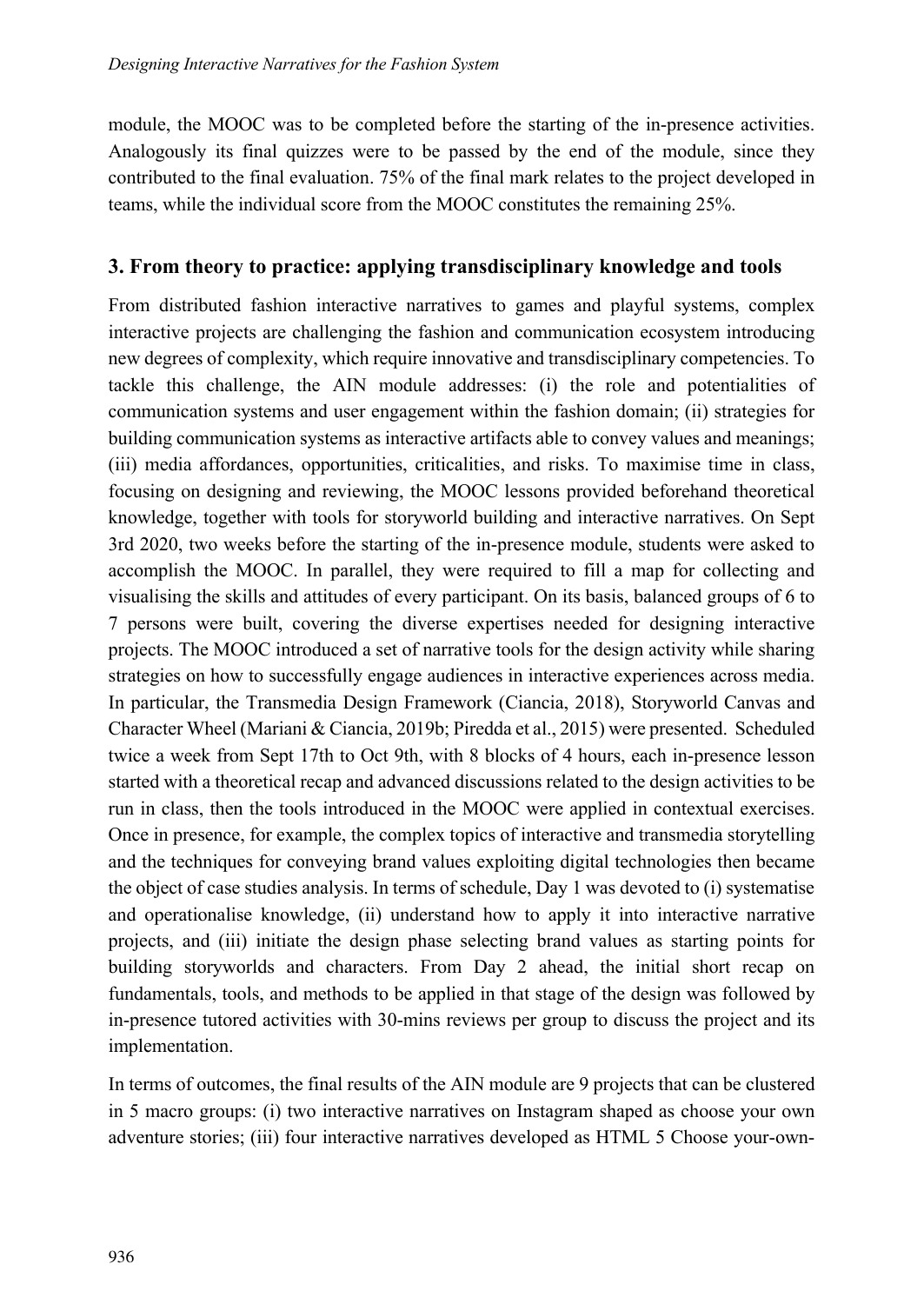module, the MOOC was to be completed before the starting of the in-presence activities. Analogously its final quizzes were to be passed by the end of the module, since they contributed to the final evaluation. 75% of the final mark relates to the project developed in teams, while the individual score from the MOOC constitutes the remaining 25%.

#### 3. From theory to practice: applying transdisciplinary knowledge and tools

From distributed fashion interactive narratives to games and playful systems, complex interactive projects are challenging the fashion and communication ecosystem introducing new degrees of complexity, which require innovative and transdisciplinary competencies. To tackle this challenge, the AIN module addresses: (i) the role and potentialities of communication systems and user engagement within the fashion domain; (ii) strategies for building communication systems as interactive artifacts able to convey values and meanings; (iii) media affordances, opportunities, criticalities, and risks. To maximise time in class, focusing on designing and reviewing, the MOOC lessons provided beforehand theoretical knowledge, together with tools for storyworld building and interactive narratives. On Sept 3rd 2020, two weeks before the starting of the in-presence module, students were asked to accomplish the MOOC. In parallel, they were required to fill a map for collecting and visualising the skills and attitudes of every participant. On its basis, balanced groups of 6 to 7 persons were built, covering the diverse expertises needed for designing interactive projects. The MOOC introduced a set of narrative tools for the design activity while sharing strategies on how to successfully engage audiences in interactive experiences across media. In particular, the Transmedia Design Framework (Ciancia, 2018), Storyworld Canvas and Character Wheel (Mariani & Ciancia, 2019b; Piredda et al., 2015) were presented. Scheduled twice a week from Sept 17th to Oct 9th, with 8 blocks of 4 hours, each in-presence lesson started with a theoretical recap and advanced discussions related to the design activities to be run in class, then the tools introduced in the MOOC were applied in contextual exercises. Once in presence, for example, the complex topics of interactive and transmedia storytelling and the techniques for conveying brand values exploiting digital technologies then became the object of case studies analysis. In terms of schedule, Day 1 was devoted to (i) systematise and operationalise knowledge, (ii) understand how to apply it into interactive narrative projects, and (iii) initiate the design phase selecting brand values as starting points for building storyworlds and characters. From Day 2 ahead, the initial short recap on fundamentals, tools, and methods to be applied in that stage of the design was followed by in-presence tutored activities with 30-mins reviews per group to discuss the project and its implementation.

In terms of outcomes, the final results of the AIN module are 9 projects that can be clustered in 5 macro groups: (i) two interactive narratives on Instagram shaped as choose your own adventure stories; (iii) four interactive narratives developed as HTML 5 Choose your-own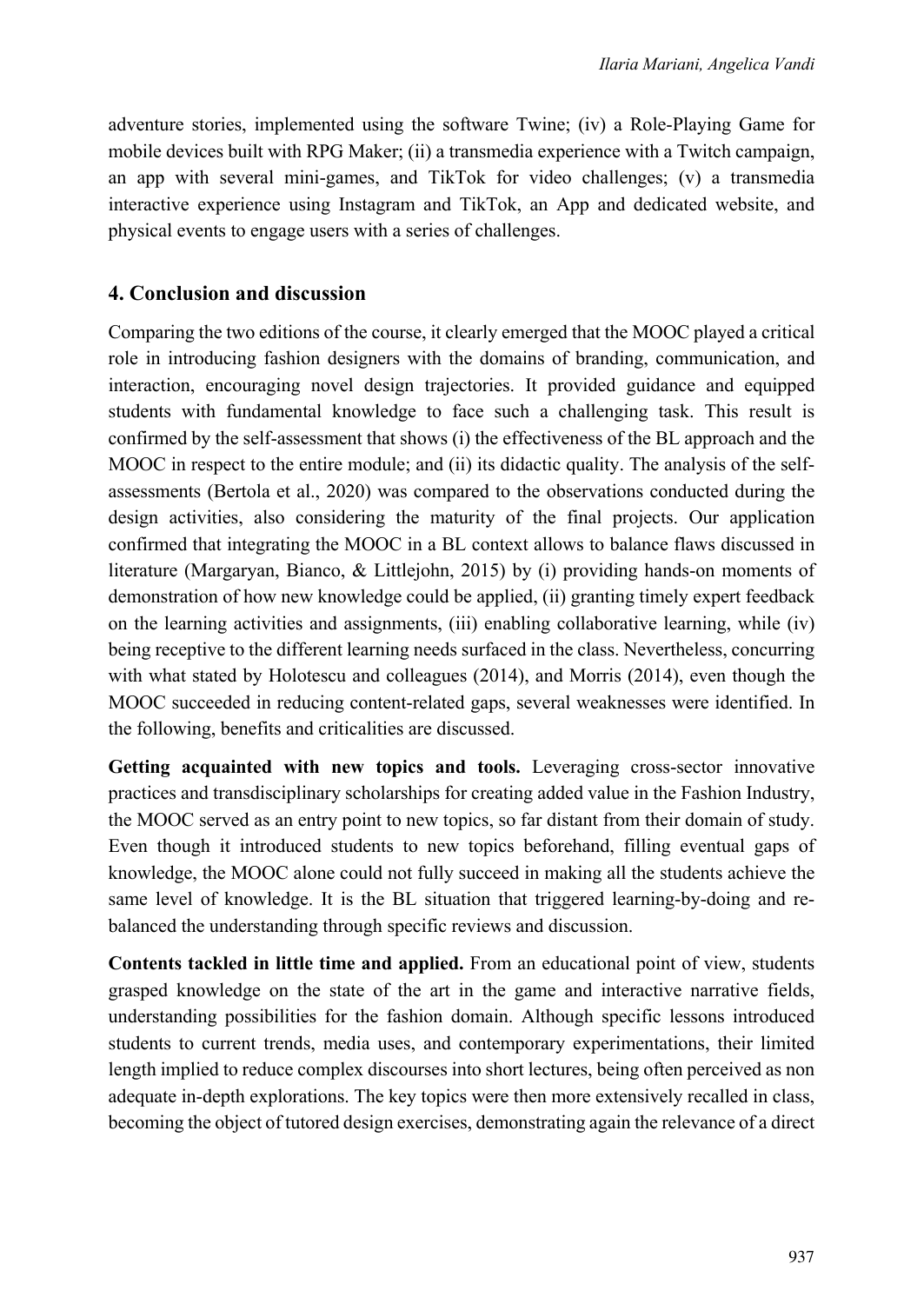adventure stories, implemented using the software Twine; (iv) a Role-Playing Game for mobile devices built with RPG Maker; (ii) a transmedia experience with a Twitch campaign, an app with several mini-games, and TikTok for video challenges; (v) a transmedia interactive experience using Instagram and TikTok, an App and dedicated website, and physical events to engage users with a series of challenges.

#### 4. Conclusion and discussion

Comparing the two editions of the course, it clearly emerged that the MOOC played a critical role in introducing fashion designers with the domains of branding, communication, and interaction, encouraging novel design trajectories. It provided guidance and equipped students with fundamental knowledge to face such a challenging task. This result is confirmed by the self-assessment that shows (i) the effectiveness of the BL approach and the MOOC in respect to the entire module; and (ii) its didactic quality. The analysis of the selfassessments (Bertola et al., 2020) was compared to the observations conducted during the design activities, also considering the maturity of the final projects. Our application confirmed that integrating the MOOC in a BL context allows to balance flaws discussed in literature (Margaryan, Bianco, & Littlejohn, 2015) by (i) providing hands-on moments of demonstration of how new knowledge could be applied, (ii) granting timely expert feedback on the learning activities and assignments, (iii) enabling collaborative learning, while (iv) being receptive to the different learning needs surfaced in the class. Nevertheless, concurring with what stated by Holotescu and colleagues (2014), and Morris (2014), even though the MOOC succeeded in reducing content-related gaps, several weaknesses were identified. In the following, benefits and criticalities are discussed.

Getting acquainted with new topics and tools. Leveraging cross-sector innovative practices and transdisciplinary scholarships for creating added value in the Fashion Industry, the MOOC served as an entry point to new topics, so far distant from their domain of study. Even though it introduced students to new topics beforehand, filling eventual gaps of knowledge, the MOOC alone could not fully succeed in making all the students achieve the same level of knowledge. It is the BL situation that triggered learning-by-doing and rebalanced the understanding through specific reviews and discussion.

Contents tackled in little time and applied. From an educational point of view, students grasped knowledge on the state of the art in the game and interactive narrative fields, understanding possibilities for the fashion domain. Although specific lessons introduced students to current trends, media uses, and contemporary experimentations, their limited length implied to reduce complex discourses into short lectures, being often perceived as non adequate in-depth explorations. The key topics were then more extensively recalled in class, becoming the object of tutored design exercises, demonstrating again the relevance of a direct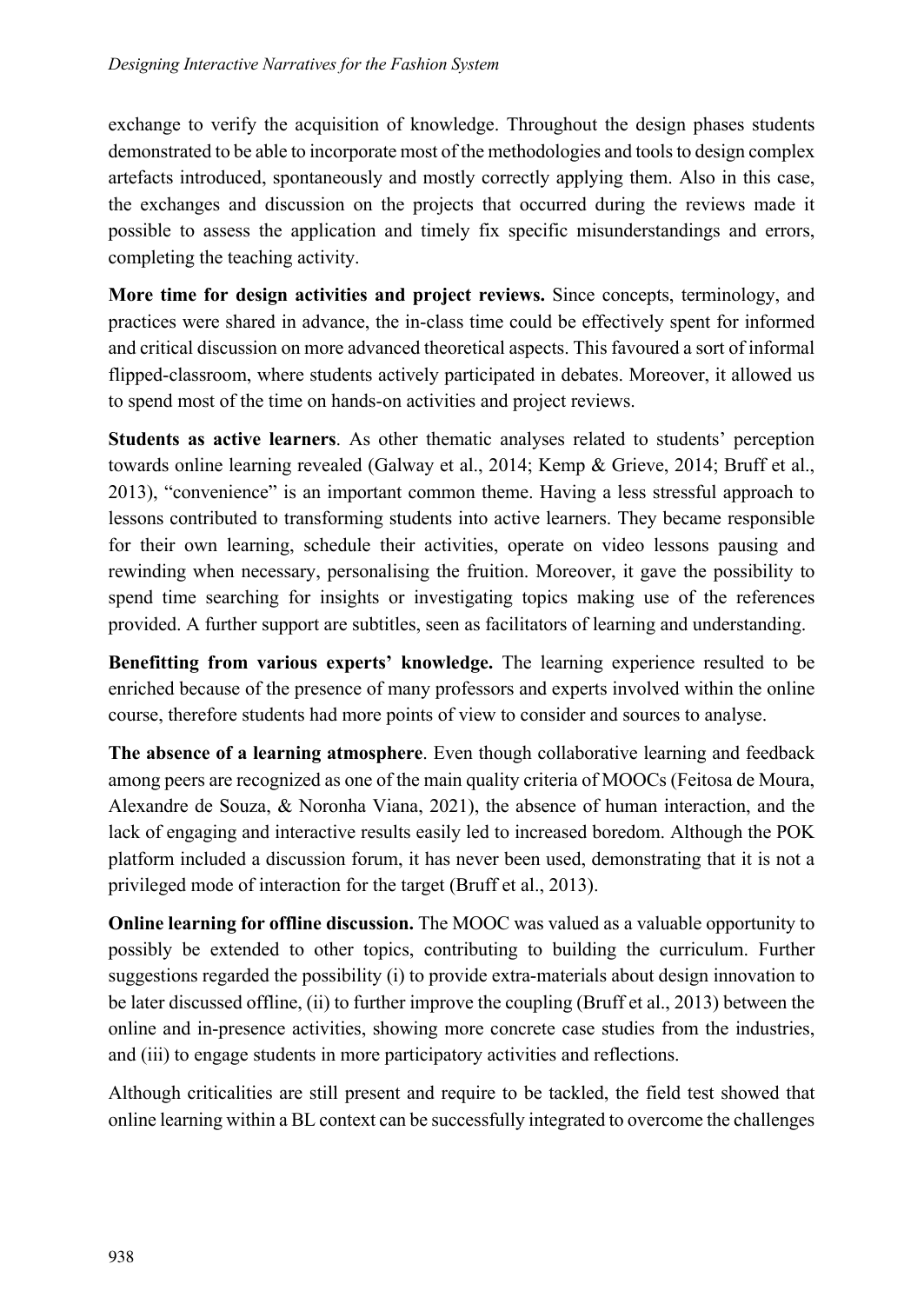exchange to verify the acquisition of knowledge. Throughout the design phases students demonstrated to be able to incorporate most of the methodologies and tools to design complex artefacts introduced, spontaneously and mostly correctly applying them. Also in this case, the exchanges and discussion on the projects that occurred during the reviews made it possible to assess the application and timely fix specific misunderstandings and errors, completing the teaching activity.

More time for design activities and project reviews. Since concepts, terminology, and practices were shared in advance, the in-class time could be effectively spent for informed and critical discussion on more advanced theoretical aspects. This favoured a sort of informal flipped-classroom, where students actively participated in debates. Moreover, it allowed us to spend most of the time on hands-on activities and project reviews.

Students as active learners. As other thematic analyses related to students' perception towards online learning revealed (Galway et al., 2014; Kemp & Grieve, 2014; Bruff et al., 2013), "convenience" is an important common theme. Having a less stressful approach to lessons contributed to transforming students into active learners. They became responsible for their own learning, schedule their activities, operate on video lessons pausing and rewinding when necessary, personalising the fruition. Moreover, it gave the possibility to spend time searching for insights or investigating topics making use of the references provided. A further support are subtitles, seen as facilitators of learning and understanding.

Benefitting from various experts' knowledge. The learning experience resulted to be enriched because of the presence of many professors and experts involved within the online course, therefore students had more points of view to consider and sources to analyse.

The absence of a learning atmosphere. Even though collaborative learning and feedback among peers are recognized as one of the main quality criteria of MOOCs (Feitosa de Moura, Alexandre de Souza, & Noronha Viana, 2021), the absence of human interaction, and the lack of engaging and interactive results easily led to increased boredom. Although the POK platform included a discussion forum, it has never been used, demonstrating that it is not a privileged mode of interaction for the target (Bruff et al., 2013).

Online learning for offline discussion. The MOOC was valued as a valuable opportunity to possibly be extended to other topics, contributing to building the curriculum. Further suggestions regarded the possibility (i) to provide extra-materials about design innovation to be later discussed offline, (ii) to further improve the coupling (Bruff et al., 2013) between the online and in-presence activities, showing more concrete case studies from the industries, and (iii) to engage students in more participatory activities and reflections.

Although criticalities are still present and require to be tackled, the field test showed that online learning within a BL context can be successfully integrated to overcome the challenges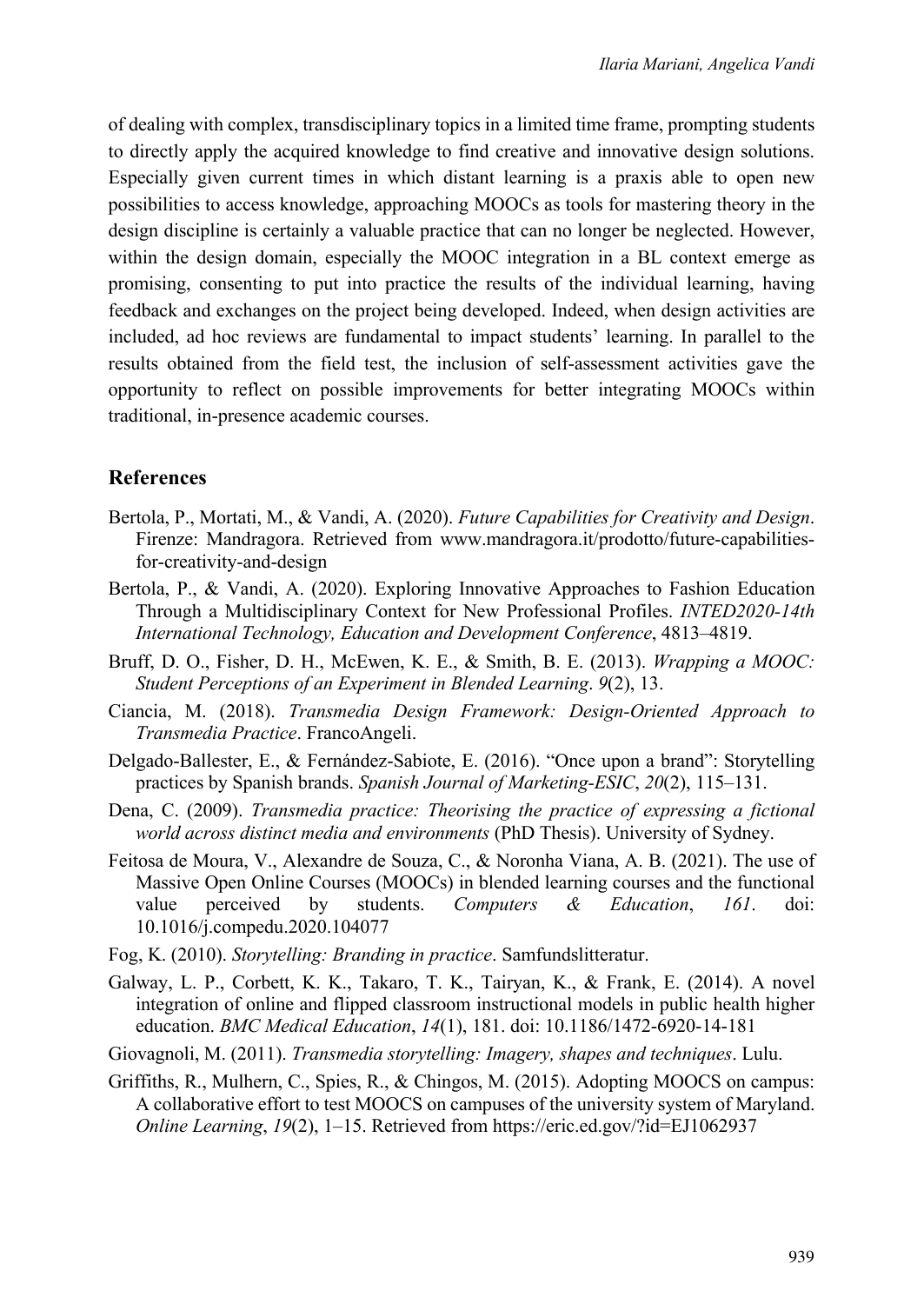of dealing with complex, transdisciplinary topics in a limited time frame, prompting students to directly apply the acquired knowledge to find creative and innovative design solutions. Especially given current times in which distant learning is a praxis able to open new possibilities to access knowledge, approaching MOOCs as tools for mastering theory in the design discipline is certainly a valuable practice that can no longer be neglected. However, within the design domain, especially the MOOC integration in a BL context emerge as promising, consenting to put into practice the results of the individual learning, having feedback and exchanges on the project being developed. Indeed, when design activities are included, ad hoc reviews are fundamental to impact students' learning. In parallel to the results obtained from the field test, the inclusion of self-assessment activities gave the opportunity to reflect on possible improvements for better integrating MOOCs within traditional, in-presence academic courses.

#### References

- Bertola, P., Mortati, M., & Vandi, A. (2020). Future Capabilities for Creativity and Design. Firenze: Mandragora. Retrieved from www.mandragora.it/prodotto/future-capabilitiesfor-creativity-and-design
- Bertola, P., & Vandi, A. (2020). Exploring Innovative Approaches to Fashion Education Through a Multidisciplinary Context for New Professional Profiles. INTED2020-14th International Technology, Education and Development Conference, 4813–4819.
- Bruff, D. O., Fisher, D. H., McEwen, K. E., & Smith, B. E. (2013). Wrapping a MOOC: Student Perceptions of an Experiment in Blended Learning. 9(2), 13.
- Ciancia, M. (2018). Transmedia Design Framework: Design-Oriented Approach to Transmedia Practice. FrancoAngeli.
- Delgado-Ballester, E., & Fernández-Sabiote, E. (2016). "Once upon a brand": Storytelling practices by Spanish brands. Spanish Journal of Marketing-ESIC, 20(2), 115–131.
- Dena, C. (2009). Transmedia practice: Theorising the practice of expressing a fictional world across distinct media and environments (PhD Thesis). University of Sydney.
- Feitosa de Moura, V., Alexandre de Souza, C., & Noronha Viana, A. B. (2021). The use of Massive Open Online Courses (MOOCs) in blended learning courses and the functional value perceived by students. Computers & Education, 161. doi: 10.1016/j.compedu.2020.104077
- Fog, K. (2010). Storytelling: Branding in practice. Samfundslitteratur.
- Galway, L. P., Corbett, K. K., Takaro, T. K., Tairyan, K., & Frank, E. (2014). A novel integration of online and flipped classroom instructional models in public health higher education. BMC Medical Education, 14(1), 181. doi: 10.1186/1472-6920-14-181
- Giovagnoli, M. (2011). Transmedia storytelling: Imagery, shapes and techniques. Lulu.
- Griffiths, R., Mulhern, C., Spies, R., & Chingos, M. (2015). Adopting MOOCS on campus: A collaborative effort to test MOOCS on campuses of the university system of Maryland. Online Learning, 19(2), 1–15. Retrieved from https://eric.ed.gov/?id=EJ1062937